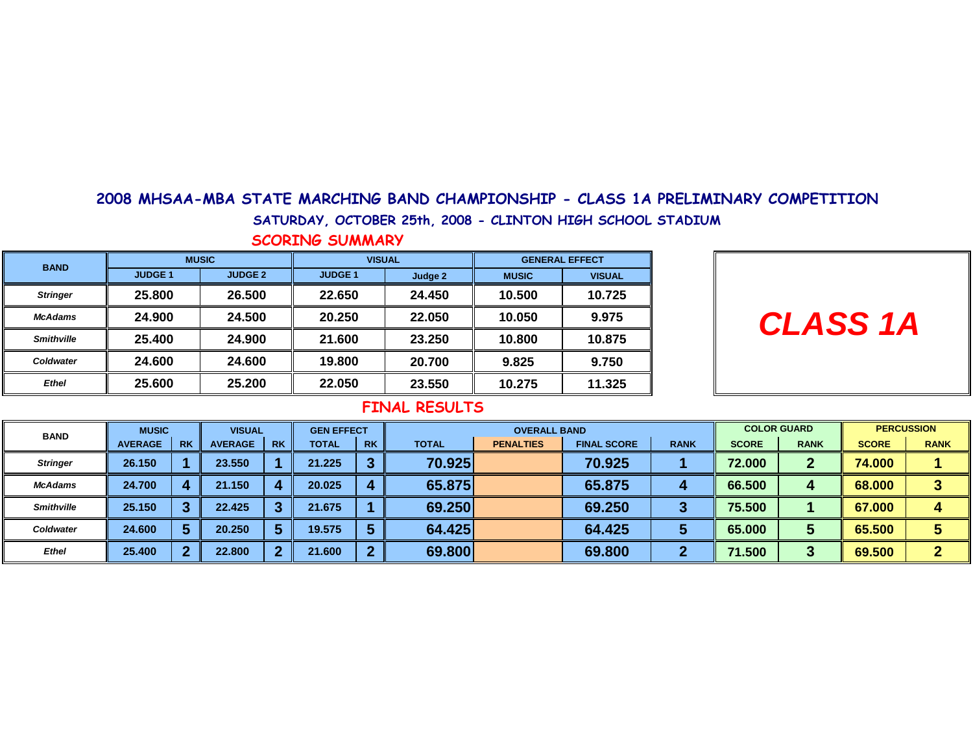### 2008 MHSAA-MBA STATE MARCHING BAND CHAMPIONSHIP - CLASS 1A PRELIMINARY COMPETITION

SATURDAY, OCTOBER 25th, 2008 - CLINTON HIGH SCHOOL STADIUM

SCORING SUMMARY

| <b>BAND</b>       | <b>MUSIC</b>  |                | <b>VISUAL</b>  |         | <b>GENERAL EFFECT</b> |               |  |  |
|-------------------|---------------|----------------|----------------|---------|-----------------------|---------------|--|--|
|                   | <b>JUDGE1</b> | <b>JUDGE 2</b> | <b>JUDGE 1</b> | Judge 2 | <b>MUSIC</b>          | <b>VISUAL</b> |  |  |
| <b>Stringer</b>   | 25.800        | 26.500         | 22.650         | 24.450  | 10.500                | 10.725        |  |  |
| <b>McAdams</b>    | 24.900        | 24.500         | 20.250         | 22.050  | 10.050                | 9.975         |  |  |
| <b>Smithville</b> | 25.400        | 24.900         | 21.600         | 23.250  | 10.800                | 10.875        |  |  |
| Coldwater         | 24.600        | 24.600         | 19.800         | 20.700  | 9.825                 | 9.750         |  |  |
| <b>Ethel</b>      | 25.600        | 25.200         | 22.050         | 23.550  | 10.275                | 11.325        |  |  |

|  | <b>CLASS 1A</b> |  |
|--|-----------------|--|
|--|-----------------|--|

| <b>BAND</b>       | <b>MUSIC</b>   |           | <b>VISUAL</b>  |           | <b>GEN EFFECT</b> |           |        | <b>OVERALL BAND</b> |                    |             | <b>COLOR GUARD</b> |              | <b>PERCUSSION</b> |             |
|-------------------|----------------|-----------|----------------|-----------|-------------------|-----------|--------|---------------------|--------------------|-------------|--------------------|--------------|-------------------|-------------|
|                   | <b>AVERAGE</b> | <b>RK</b> | <b>AVERAGE</b> | <b>RK</b> | <b>TOTAL</b>      | <b>RK</b> | TOTAL  | <b>PENALTIES</b>    | <b>FINAL SCORE</b> | <b>RANK</b> | <b>SCORE</b>       | <b>RANK</b>  | <b>SCORE</b>      | <b>RANK</b> |
| <b>Stringer</b>   | 26.150         |           | 23,550         |           | 21.225            | ≏         | 70.925 |                     | 70.925             |             | 72.000             | $\mathbf{r}$ | 74.000            |             |
| <b>McAdams</b>    | 24.700         |           | 21.150         |           | 20.025            | 4         | 65.875 |                     | 65.875             | 4           | 66.500             | 4            | 68.000            |             |
| <b>Smithville</b> | 25.150         | m         | 22.425         |           | 21.675            |           | 69.250 |                     | 69.250             | ю           | 75.500             |              | 67.000            | 4           |
| Coldwater         | 24.600         |           | 20.250         |           | 19.575            |           | 64.425 |                     | 64.425             |             | 65.000             | Э            | 65.500            |             |
| <b>Ethel</b>      | 25.400         | n         | 22,800         | ◠         | 21.600            | ◠         | 69.800 |                     | 69.800             |             | 71.500             | っ<br>J       | 69.500            | 办           |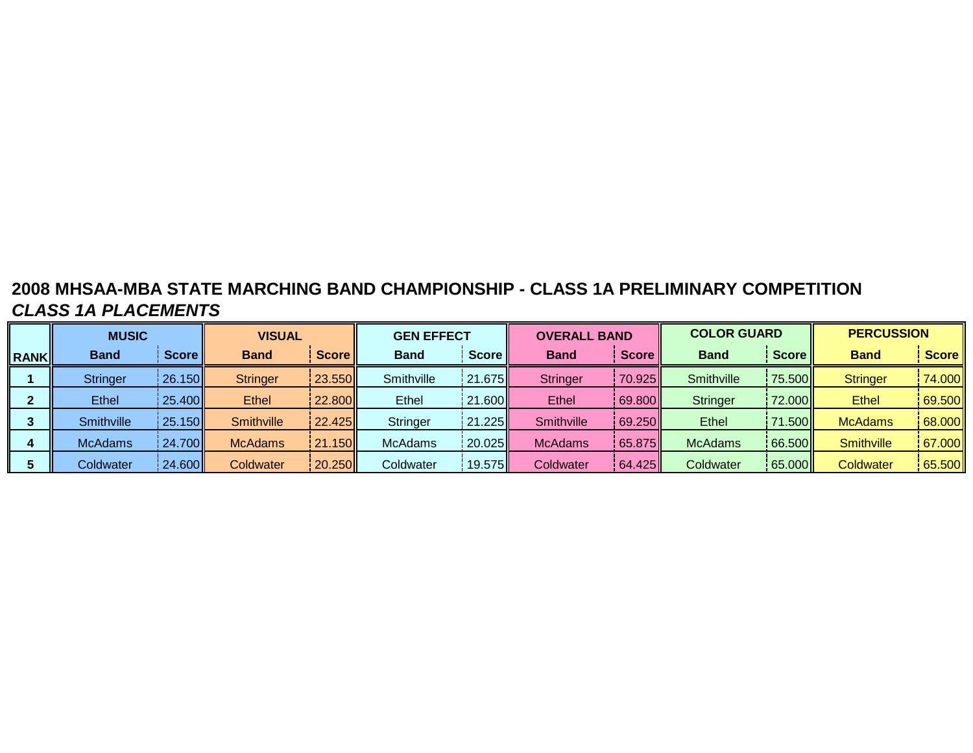# **2008 MHSAA-MBA STATE MARCHING BAND CHAMPIONSHIP - CLASS 1A PRELIMINARY COMPETITIONCLASS 1A PLACEMENTS**

|             | <b>MUSIC</b>   |                      | <b>VISUAL</b>   |          | <b>GEN EFFECT</b> |         | <b>OVERALL BAND</b> |          | <b>COLOR GUARD</b> |          | <b>PERCUSSION</b> |                      |
|-------------|----------------|----------------------|-----------------|----------|-------------------|---------|---------------------|----------|--------------------|----------|-------------------|----------------------|
| <b>RANK</b> | <b>Band</b>    | Score                | <b>Band</b>     | Score II | <b>Band</b>       | Score I | <b>Band</b>         | Score II | <b>Band</b>        | Score II | <b>Band</b>       | Score II             |
|             | Stringer       | 26.150               | <b>Stringer</b> | 23.550   | Smithville        | 21.675  | <b>Stringer</b>     | 70.925   | Smithville         | 75.500   | <b>Stringer</b>   | 74.000               |
|             | <b>Ethel</b>   | 25.400               | Ethel           | 22.800   | Ethel             | 21.600  | <b>Ethel</b>        | 69.800   | <b>Stringer</b>    | 72.000   | <b>Ethel</b>      | 69.500               |
|             | Smithville     | $\frac{1}{25.150}$   | Smithville      | 22.425   | <b>Stringer</b>   | 21.225  | Smithville          | 69.250   | <b>Ethel</b>       | 71.500II | <b>McAdams</b>    | 68.000               |
|             | <b>McAdams</b> | $\frac{1}{2}$ 24.700 | <b>McAdams</b>  | 21.150   | <b>McAdams</b>    | 20.025  | <b>McAdams</b>      | 65.875   | <b>McAdams</b>     | 66.500   | <b>Smithville</b> | $\vert 67.000 \vert$ |
|             | Coldwater      | 24.600               | Coldwater       | 20.250   | Coldwater         | 19.575  | Coldwater           | 64.425   | Coldwater          | 65.000   | Coldwater         | 65.500               |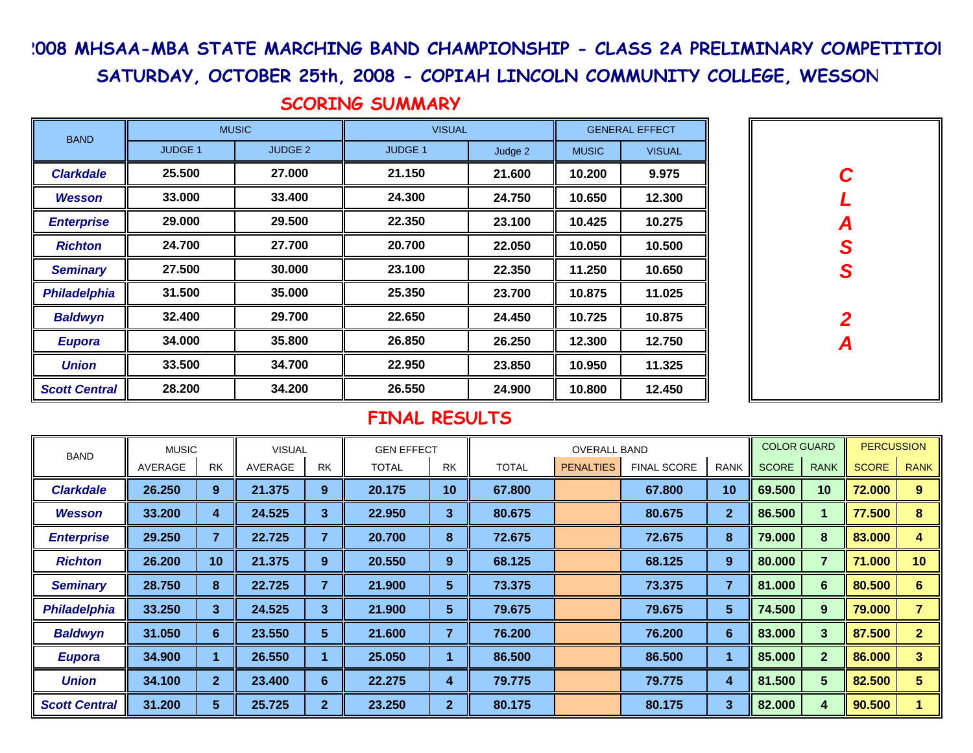# 2008 MHSAA-MBA STATE MARCHING BAND CHAMPIONSHIP - CLASS 2A PRELIMINARY COMPETITION

SATURDAY, OCTOBER 25th, 2008 - COPIAH LINCOLN COMMUNITY COLLEGE, WESSON

**C L A SS**

**2**

**A**

# SCORING SUMMARY

| <b>BAND</b>          |                | <b>MUSIC</b>   | <b>VISUAL</b>  |         |              | <b>GENERAL EFFECT</b> |  |
|----------------------|----------------|----------------|----------------|---------|--------------|-----------------------|--|
|                      | <b>JUDGE 1</b> | <b>JUDGE 2</b> | <b>JUDGE 1</b> | Judge 2 | <b>MUSIC</b> | <b>VISUAL</b>         |  |
| <b>Clarkdale</b>     | 25.500         | 27.000         | 21.150         | 21.600  | 10.200       | 9.975                 |  |
| <b>Wesson</b>        | 33.000         | 33.400         | 24.300         | 24.750  | 10.650       | 12.300                |  |
| <b>Enterprise</b>    | 29.000         | 29.500         | 22.350         | 23.100  | 10.425       | 10.275                |  |
| <b>Richton</b>       | 24.700         | 27.700         | 20.700         | 22.050  | 10.050       | 10.500                |  |
| <b>Seminary</b>      | 27.500         | 30,000         | 23.100         | 22.350  | 11.250       | 10.650                |  |
| <b>Philadelphia</b>  | 31.500         | 35.000         | 25.350         | 23.700  | 10.875       | 11.025                |  |
| <b>Baldwyn</b>       | 32.400         | 29.700         | 22.650         | 24.450  | 10.725       | 10.875                |  |
| <b>Eupora</b>        | 34.000         | 35,800         | 26.850         | 26.250  | 12.300       | 12.750                |  |
| <b>Union</b>         | 33.500         | 34.700         | 22.950         | 23.850  | 10.950       | 11.325                |  |
| <b>Scott Central</b> | 28,200         | 34.200         | 26.550         | 24.900  | 10.800       | 12.450                |  |

| <b>BAND</b>          | <b>MUSIC</b> |                | <b>VISUAL</b> |                | <b>GEN EFFECT</b> |                |              | <b>OVERALL BAND</b> |                    |              | <b>COLOR GUARD</b> |                | <b>PERCUSSION</b> |                 |
|----------------------|--------------|----------------|---------------|----------------|-------------------|----------------|--------------|---------------------|--------------------|--------------|--------------------|----------------|-------------------|-----------------|
|                      | AVERAGE      | <b>RK</b>      | AVERAGE       | <b>RK</b>      | <b>TOTAL</b>      | <b>RK</b>      | <b>TOTAL</b> | <b>PENALTIES</b>    | <b>FINAL SCORE</b> | <b>RANK</b>  | <b>SCORE</b>       | <b>RANK</b>    | <b>SCORE</b>      | <b>RANK</b>     |
| <b>Clarkdale</b>     | 26.250       | 9              | 21.375        | $9^{\circ}$    | 20.175            | 10             | 67.800       |                     | 67.800             | 10           | 69.500             | 10             | 72.000            | 9               |
| <b>Wesson</b>        | 33.200       | 4              | 24.525        | 3              | 22.950            | 3              | 80.675       |                     | 80.675             | $\mathbf{2}$ | 86.500             |                | 77.500            | 8               |
| <b>Enterprise</b>    | 29.250       |                | 22.725        | $\overline{7}$ | 20.700            | 8              | 72.675       |                     | 72.675             | 8            | 79.000             | 8              | 83.000            | 4               |
| <b>Richton</b>       | 26.200       | 10             | 21.375        | $9^{\circ}$    | 20.550            | 9              | 68.125       |                     | 68.125             | 9            | 80.000             |                | 71.000            | 10 <sup>°</sup> |
| <b>Seminary</b>      | 28.750       | 8              | 22.725        | 7              | 21.900            | 5              | 73.375       |                     | 73.375             |              | 81.000             | 6              | 80.500            | 6               |
| Philadelphia         | 33.250       | 3              | 24.525        | 3              | 21.900            | 5              | 79.675       |                     | 79.675             | 5            | 74.500             | 9              | 79.000            |                 |
| <b>Baldwyn</b>       | 31.050       | 6              | 23.550        | 5              | 21.600            | 7              | 76.200       |                     | 76.200             | 6            | 83.000             | 3              | 87.500            | $\overline{2}$  |
| <b>Eupora</b>        | 34.900       |                | 26.550        |                | 25.050            |                | 86.500       |                     | 86.500             |              | 85.000             | $\overline{2}$ | 86.000            | 3               |
| <b>Union</b>         | 34.100       | 2 <sup>1</sup> | 23.400        | $6\phantom{1}$ | 22.275            | 4              | 79.775       |                     | 79.775             | 4            | 81.500             | 5              | 82.500            | 5               |
| <b>Scott Central</b> | 31.200       | 5              | 25.725        | $\overline{2}$ | 23.250            | $\overline{2}$ | 80.175       |                     | 80.175             | 3            | 82.000             | 4              | 90.500            |                 |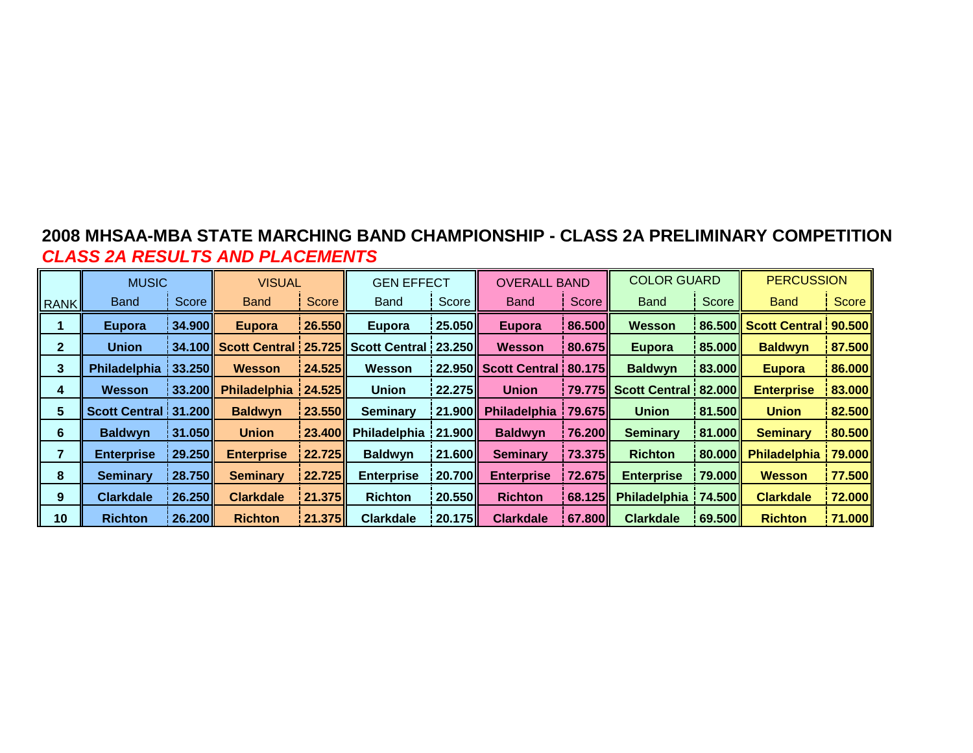# **2008 MHSAA-MBA STATE MARCHING BAND CHAMPIONSHIP - CLASS 2A PRELIMINARY COMPETITIONCLASS 2A RESULTS AND PLACEMENTS**

|             | <b>MUSIC</b>         |                  | <b>VISUAL</b>       |               | <b>GEN EFFECT</b>                             |                    | <b>OVERALL BAND</b> |                    | <b>COLOR GUARD</b>            |                  | <b>PERCUSSION</b>             |                        |
|-------------|----------------------|------------------|---------------------|---------------|-----------------------------------------------|--------------------|---------------------|--------------------|-------------------------------|------------------|-------------------------------|------------------------|
| <b>RANK</b> | <b>Band</b>          | Score            | <b>Band</b>         | Score         | <b>Band</b>                                   | Score              | <b>Band</b>         | Score              | <b>Band</b>                   | Score            | <b>Band</b>                   | Score                  |
|             | Eupora               | 34.900           | <b>Eupora</b>       | 26.550        | Eupora                                        | l 25.050 l         | <b>Eupora</b>       | l 86.500 l         | <b>Wesson</b>                 |                  | 86.500 Scott Central   90.500 |                        |
| 2.          | <b>Union</b>         | 34.100           |                     |               | Scott Central : 25.725 Scott Central : 23.250 |                    | Wesson              | <b>80.675</b>      | Eupora                        | 85.000           | <b>Baldwyn</b>                | $\vert$ 87.500         |
| 3           | Philadelphia 133.250 |                  | <b>Wesson</b>       | <b>24.525</b> | <b>Wesson</b>                                 |                    |                     |                    | <b>Baldwyn</b>                | 83.000 <b>  </b> | <b>Eupora</b>                 | $\vert 86.000 \vert$   |
| 4           | Wesson               | <b>33.200</b>    | <b>Philadelphia</b> | 24.525        | <b>Union</b>                                  | <u>  22.275   </u> | <b>Union</b>        |                    | 79.775 Scott Central   82.000 |                  | <b>Enterprise</b>             | 83.000                 |
| 5.          | Scott Central 31.200 |                  | <b>Baldwyn</b>      | 23.550        | <b>Seminary</b>                               | 21.900             | Philadelphia        | <b>79.675</b>      | <b>Union</b>                  | 81.500 <b>  </b> | <b>Union</b>                  | 82.500                 |
| 6           | <b>Baldwyn</b>       | 31.050 <b>  </b> | <b>Union</b>        | <b>23.400</b> | Philadelphia 21.900                           |                    | <b>Baldwyn</b>      | <b>76.200</b>      | <b>Seminary</b>               | 81.000           | <b>Seminary</b>               | $\vert$ 80.500 $\vert$ |
|             | <b>Enterprise</b>    | 29.250           | <b>Enterprise</b>   | <b>22.725</b> | <b>Baldwyn</b>                                | 21.600             | <b>Seminary</b>     | <b>73.375</b>      | <b>Richton</b>                | 80.000           | <b>Philadelphia</b>           | 79.000                 |
| 8           | <b>Seminary</b>      | <b>28.750</b>    | <b>Seminary</b>     | 22.725        | <b>Enterprise</b>                             | i 20.700 l         | <b>Enterprise</b>   | <b>72.675</b>      | <b>Enterprise</b>             | 79.000           | <b>Wesson</b>                 | $\vert$ 77.500 $\vert$ |
| 9           | <b>Clarkdale</b>     | 26.250           | <b>Clarkdale</b>    | <b>21.375</b> | <b>Richton</b>                                | 20.550             | <b>Richton</b>      | <u>  68.125   </u> | Philadelphia                  | 74.500           | <b>Clarkdale</b>              | $\vert$ 72.000 $\vert$ |
| 10          | <b>Richton</b>       | <b>26.200</b>    | <b>Richton</b>      | <b>21.375</b> | <b>Clarkdale</b>                              | <u>  20.175   </u> | <b>Clarkdale</b>    | i 67.800 l         | <b>Clarkdale</b>              | 69.500           | <b>Richton</b>                | 71.000                 |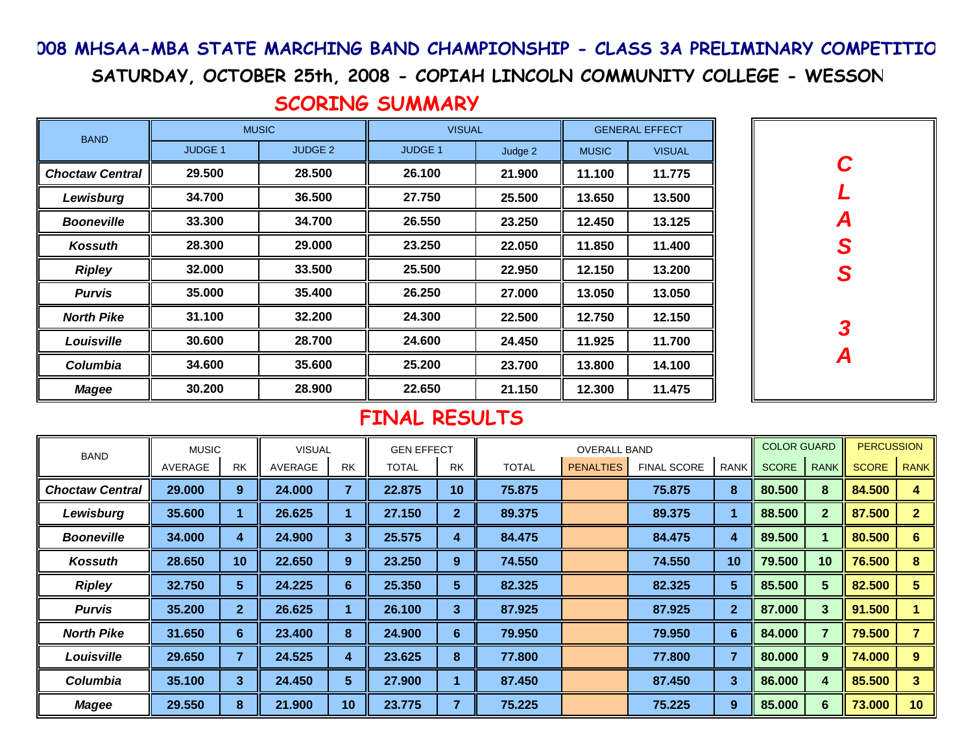## 008 MHSAA-MBA STATE MARCHING BAND CHAMPIONSHIP - CLASS 3A PRELIMINARY COMPETITIO

SATURDAY, OCTOBER 25th, 2008 - COPIAH LINCOLN COMMUNITY COLLEGE - WESSON

# SCORING SUMMARY

| <b>BAND</b>            |                | <b>MUSIC</b>       | <b>VISUAL</b>  |         |              | <b>GENERAL EFFECT</b> |
|------------------------|----------------|--------------------|----------------|---------|--------------|-----------------------|
|                        | <b>JUDGE 1</b> | JUDGE <sub>2</sub> | <b>JUDGE 1</b> | Judge 2 | <b>MUSIC</b> | <b>VISUAL</b>         |
| <b>Choctaw Central</b> | 29.500         | 28,500             | 26.100         | 21.900  | 11.100       | 11.775                |
| Lewisburg              | 34.700         | 36.500             | 27.750         | 25.500  | 13.650       | 13.500                |
| <b>Booneville</b>      | 33.300         | 34.700             | 26.550         | 23.250  | 12.450       | 13.125                |
| Kossuth                | 28,300         | 29,000             | 23.250         | 22.050  | 11.850       | 11.400                |
| <b>Ripley</b>          | 32.000         | 33.500             | 25.500         | 22.950  | 12.150       | 13.200                |
| <b>Purvis</b>          | 35,000         | 35.400             | 26.250         | 27,000  | 13.050       | 13.050                |
| <b>North Pike</b>      | 31.100         | 32.200             | 24.300         | 22.500  | 12.750       | 12.150                |
| Louisville             | 30.600         | 28,700             | 24.600         | 24.450  | 11.925       | 11.700                |
| Columbia               | 34.600         | 35,600             | 25,200         | 23.700  | 13.800       | 14.100                |
| <b>Magee</b>           | 30.200         | 28,900             | 22.650         | 21.150  | 12.300       | 11.475                |



| <b>BAND</b>            | <b>MUSIC</b> |              | <b>VISUAL</b> |                         | <b>GEN EFFECT</b> |                |              | <b>OVERALL BAND</b> |                    |                | <b>COLOR GUARD</b> |              | <b>PERCUSSION</b> |              |
|------------------------|--------------|--------------|---------------|-------------------------|-------------------|----------------|--------------|---------------------|--------------------|----------------|--------------------|--------------|-------------------|--------------|
|                        | AVERAGE      | <b>RK</b>    | AVERAGE       | <b>RK</b>               | <b>TOTAL</b>      | <b>RK</b>      | <b>TOTAL</b> | <b>PENALTIES</b>    | <b>FINAL SCORE</b> | <b>RANK</b>    | <b>SCORE</b>       | <b>RANK</b>  | <b>SCORE</b>      | <b>RANK</b>  |
| <b>Choctaw Central</b> | 29.000       | 9            | 24.000        | $\overline{\mathbf{7}}$ | 22.875            | 10             | 75.875       |                     | 75.875             | 8              | 80.500             | 8            | 84.500            | 4            |
| Lewisburg              | 35.600       |              | 26.625        |                         | 27.150            | $\overline{2}$ | 89.375       |                     | 89.375             |                | 88.500             | $\mathbf{2}$ | 87.500            | $\mathbf{2}$ |
| <b>Booneville</b>      | 34,000       | 4            | 24.900        | 3                       | 25.575            | 4              | 84.475       |                     | 84.475             | 4              | 89.500             |              | 80.500            | 6            |
| <b>Kossuth</b>         | 28.650       | 10           | 22.650        | 9                       | 23.250            | 9              | 74.550       |                     | 74.550             | 10             | 79.500             | 10           | 76.500            | 8            |
| <b>Ripley</b>          | 32.750       | 5            | 24.225        | 6                       | 25.350            | 5              | 82.325       |                     | 82.325             | 5              | 85.500             | 5            | 82.500            | 5            |
| <b>Purvis</b>          | 35.200       | $\mathbf{2}$ | 26.625        |                         | 26.100            | 3              | 87.925       |                     | 87.925             | $\overline{2}$ | 87.000             | 3            | 91.500            |              |
| <b>North Pike</b>      | 31.650       | 6            | 23.400        | 8                       | 24.900            | 6              | 79.950       |                     | 79.950             | 6              | 84.000             | 7            | 79.500            |              |
| Louisville             | 29.650       |              | 24.525        | 4                       | 23.625            | 8              | 77.800       |                     | 77.800             | $\overline{ }$ | 80.000             | 9            | 74.000            | 9            |
| Columbia               | 35.100       | 3            | 24.450        | 5                       | 27.900            |                | 87.450       |                     | 87.450             | 3              | 86.000             | 4            | 85.500            | 3            |
| <b>Magee</b>           | 29.550       | 8            | 21.900        | 10                      | 23.775            |                | 75.225       |                     | 75.225             | 9              | 85.000             | 6            | 73.000            | 10           |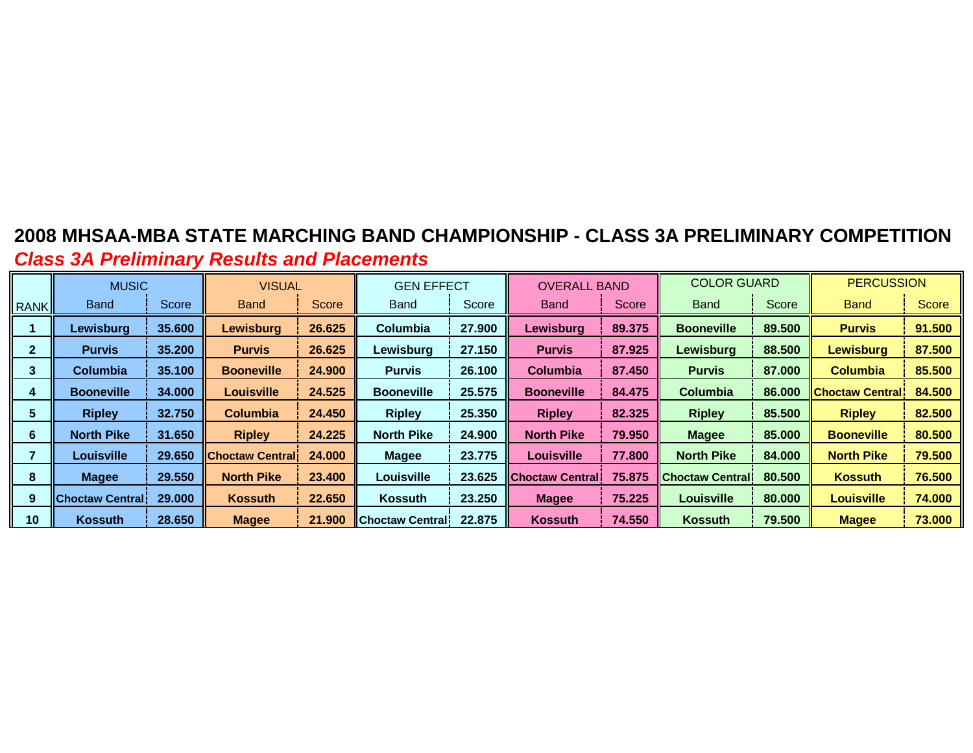# **2008 MHSAA-MBA STATE MARCHING BAND CHAMPIONSHIP - CLASS 3A PRELIMINARY COMPETITIONClass 3A Preliminary Results and Placements**

|             | <b>MUSIC</b>              |        | <b>VISUAL</b>          |              | <b>GEN EFFECT</b>         |        | <b>OVERALL BAND</b>     |        | <b>COLOR GUARD</b> |        | <b>PERCUSSION</b>      |              |
|-------------|---------------------------|--------|------------------------|--------------|---------------------------|--------|-------------------------|--------|--------------------|--------|------------------------|--------------|
| <b>RANK</b> | <b>Band</b>               | Score  | <b>Band</b>            | <b>Score</b> | <b>Band</b>               | Score  | Band                    | Score  | <b>Band</b>        | Score  | <b>Band</b>            | <b>Score</b> |
|             | Lewisburg                 | 35.600 | <b>Lewisburg</b>       | 26.625       | <b>Columbia</b>           | 27.900 | Lewisburg               | 89.375 | <b>Booneville</b>  | 89.500 | <b>Purvis</b>          | 91.500       |
|             | <b>Purvis</b>             | 35.200 | <b>Purvis</b>          | 26.625       | Lewisburg                 | 27.150 | <b>Purvis</b>           | 87.925 | Lewisburg          | 88.500 | <b>Lewisburg</b>       | 87.500       |
| 3           | <b>Columbia</b>           | 35.100 | <b>Booneville</b>      | 24,900       | <b>Purvis</b>             | 26.100 | Columbia                | 87.450 | <b>Purvis</b>      | 87,000 | <b>Columbia</b>        | 85.500       |
| 4           | <b>Booneville</b>         | 34,000 | <b>Louisville</b>      | 24.525       | <b>Booneville</b>         | 25.575 | <b>Booneville</b>       | 84.475 | <b>Columbia</b>    | 86,000 | <b>Choctaw Central</b> | 84.500       |
| 5           | <b>Ripley</b>             | 32.750 | <b>Columbia</b>        | 24.450       | <b>Ripley</b>             | 25.350 | <b>Ripley</b>           | 82.325 | <b>Ripley</b>      | 85.500 | <b>Ripley</b>          | 82.500       |
| 6           | <b>North Pike</b>         | 31.650 | <b>Ripley</b>          | 24.225       | <b>North Pike</b>         | 24.900 | <b>North Pike</b>       | 79.950 | <b>Magee</b>       | 85.000 | <b>Booneville</b>      | 80.500       |
|             | Louisville                | 29.650 | <b>Choctaw Central</b> | 24.000       | <b>Magee</b>              | 23.775 | Louisville              | 77.800 | <b>North Pike</b>  | 84.000 | <b>North Pike</b>      | 79.500       |
| 8           | <b>Magee</b>              | 29.550 | <b>North Pike</b>      | 23.400       | Louisville                | 23.625 | <b>Choctaw Centrall</b> | 75.875 | IChoctaw Centrali  | 80,500 | <b>Kossuth</b>         | 76.500       |
| 9           | <b>I</b> Choctaw Central! | 29,000 | <b>Kossuth</b>         | 22.650       | Kossuth                   | 23.250 | <b>Magee</b>            | 75.225 | Louisville         | 80.000 | <b>Louisville</b>      | 74.000       |
| 10          | <b>Kossuth</b>            | 28.650 | <b>Magee</b>           | 21.900       | <b>I</b> IChoctaw Central | 22,875 | <b>Kossuth</b>          | 74.550 | <b>Kossuth</b>     | 79.500 | <b>Magee</b>           | 73.000       |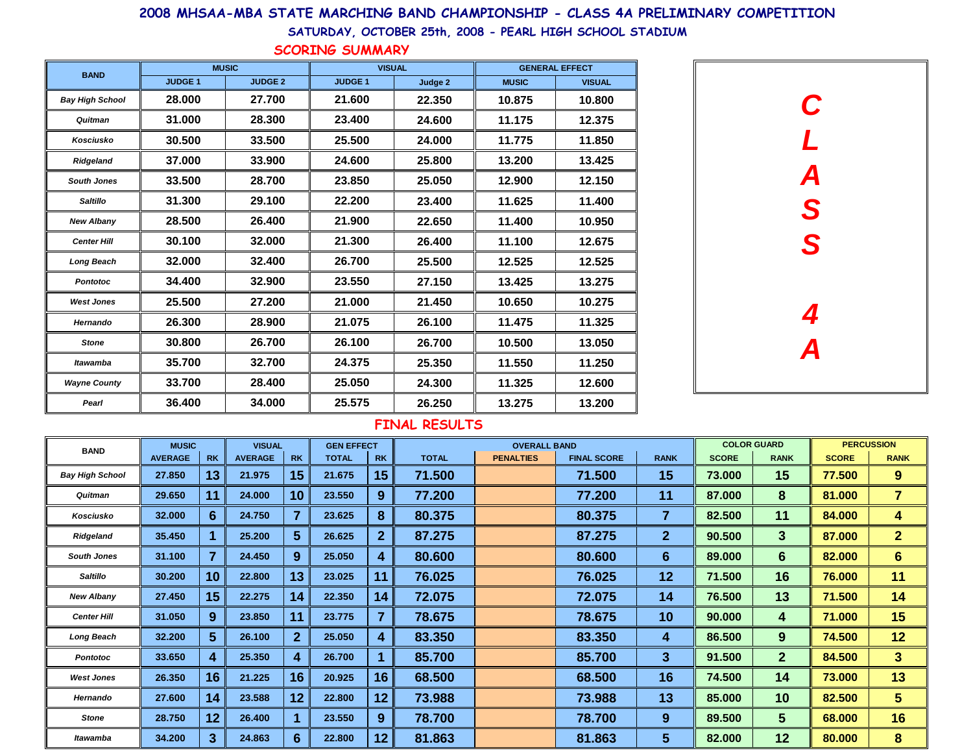### 2008 MHSAA-MBA STATE MARCHING BAND CHAMPIONSHIP - CLASS 4A PRELIMINARY COMPETITION

SATURDAY, OCTOBER 25th, 2008 - PEARL HIGH SCHOOL STADIUM

SCORING SUMMARY

| <b>BAND</b>            | <b>MUSIC</b>   |                | <b>VISUAL</b> |         |              | <b>GENERAL EFFECT</b> |
|------------------------|----------------|----------------|---------------|---------|--------------|-----------------------|
|                        | <b>JUDGE 1</b> | <b>JUDGE 2</b> | <b>JUDGE1</b> | Judge 2 | <b>MUSIC</b> | <b>VISUAL</b>         |
| <b>Bay High School</b> | 28.000         | 27.700         | 21.600        | 22,350  | 10.875       | 10.800                |
| Quitman                | 31.000         | 28.300         | 23.400        | 24.600  | 11.175       | 12.375                |
| Kosciusko              | 30.500         | 33.500         | 25.500        | 24.000  | 11.775       | 11.850                |
| Ridgeland              | 37.000         | 33,900         | 24.600        | 25.800  | 13.200       | 13.425                |
| <b>South Jones</b>     | 33.500         | 28.700         | 23.850        | 25.050  | 12.900       | 12.150                |
| <b>Saltillo</b>        | 31.300         | 29.100         | 22.200        | 23.400  | 11.625       | 11.400                |
| <b>New Albany</b>      | 28.500         | 26.400         | 21.900        | 22.650  | 11.400       | 10.950                |
| <b>Center Hill</b>     | 30.100         | 32.000         | 21.300        | 26.400  | 11.100       | 12.675                |
| <b>Long Beach</b>      | 32.000         | 32.400         | 26.700        | 25.500  | 12.525       | 12.525                |
| <b>Pontotoc</b>        | 34.400         | 32,900         | 23.550        | 27.150  | 13.425       | 13.275                |
| <b>West Jones</b>      | 25.500         | 27.200         | 21.000        | 21.450  | 10.650       | 10.275                |
| Hernando               | 26.300         | 28.900         | 21.075        | 26.100  | 11.475       | 11.325                |
| <b>Stone</b>           | 30.800         | 26.700         | 26.100        | 26.700  | 10.500       | 13.050                |
| Itawamba               | 35.700         | 32.700         | 24.375        | 25.350  | 11.550       | 11.250                |
| <b>Wayne County</b>    | 33.700         | 28.400         | 25.050        | 24.300  | 11.325       | 12.600                |
| Pearl                  | 36.400         | 34.000         | 25.575        | 26.250  | 13.275       | 13.200                |



| <b>BAND</b>            | <b>MUSIC</b>   |                 | <b>VISUAL</b>  |              | <b>GEN EFFECT</b> |                |              | <b>OVERALL BAND</b> |                    |                |              | <b>COLOR GUARD</b> |              | <b>PERCUSSION</b> |
|------------------------|----------------|-----------------|----------------|--------------|-------------------|----------------|--------------|---------------------|--------------------|----------------|--------------|--------------------|--------------|-------------------|
|                        | <b>AVERAGE</b> | <b>RK</b>       | <b>AVERAGE</b> | <b>RK</b>    | <b>TOTAL</b>      | <b>RK</b>      | <b>TOTAL</b> | <b>PENALTIES</b>    | <b>FINAL SCORE</b> | <b>RANK</b>    | <b>SCORE</b> | <b>RANK</b>        | <b>SCORE</b> | <b>RANK</b>       |
| <b>Bay High School</b> | 27.850         | 13              | 21.975         | 15           | 21.675            | 15             | 71.500       |                     | 71.500             | 15             | 73.000       | 15                 | 77.500       | 9                 |
| Quitman                | 29.650         | 11              | 24.000         | 10           | 23.550            | 9              | 77.200       |                     | 77.200             | 11             | 87.000       | 8                  | 81.000       | $\overline{7}$    |
| Kosciusko              | 32.000         | 6               | 24.750         | 7            | 23.625            | 8              | 80.375       |                     | 80.375             | 7              | 82.500       | 11                 | 84.000       | 4                 |
| Ridgeland              | 35.450         |                 | 25.200         | 5.           | 26.625            | $\overline{2}$ | 87.275       |                     | 87.275             | $\mathbf{2}$   | 90.500       | 3                  | 87.000       | $\overline{2}$    |
| <b>South Jones</b>     | 31.100         | $\overline{7}$  | 24.450         | 9            | 25.050            | 4              | 80.600       |                     | 80.600             | $6\phantom{1}$ | 89.000       | $6\phantom{1}$     | 82,000       | 6 <sup>1</sup>    |
| <b>Saltillo</b>        | 30.200         | 10 <sub>1</sub> | 22.800         | 13           | 23.025            | 11             | 76.025       |                     | 76.025             | 12             | 71.500       | 16                 | 76.000       | 11                |
| <b>New Albany</b>      | 27.450         | 15              | 22.275         | 14           | 22.350            | 14             | 72.075       |                     | 72.075             | 14             | 76.500       | 13                 | 71.500       | 14                |
| <b>Center Hill</b>     | 31.050         | 9               | 23.850         | 11           | 23.775            | $\overline{7}$ | 78.675       |                     | 78.675             | 10             | 90.000       | 4                  | 71.000       | 15                |
| <b>Long Beach</b>      | 32.200         | $5\phantom{.0}$ | 26.100         | $\mathbf{2}$ | 25.050            | 4              | 83.350       |                     | 83.350             | 4              | 86.500       | 9                  | 74.500       | 12                |
| <b>Pontotoc</b>        | 33.650         | 4               | 25.350         | 4            | 26.700            |                | 85.700       |                     | 85.700             | 3              | 91.500       | $\overline{2}$     | 84.500       | 3 <sup>5</sup>    |
| <b>West Jones</b>      | 26.350         | 16              | 21.225         | 16           | 20.925            | 16             | 68.500       |                     | 68.500             | 16             | 74.500       | 14                 | 73.000       | 13                |
| Hernando               | 27.600         | 14              | 23.588         | 12           | 22.800            | 12             | 73.988       |                     | 73.988             | 13             | 85.000       | 10                 | 82.500       | 5 <sup>5</sup>    |
| Stone                  | 28.750         | 12              | 26.400         |              | 23.550            | 9              | 78.700       |                     | 78.700             | 9              | 89.500       | 5                  | 68.000       | 16                |
| Itawamba               | 34.200         | 3 <sup>2</sup>  | 24.863         | 6            | 22.800            | 12             | 81.863       |                     | 81.863             | 5              | 82.000       | 12                 | 80,000       | 8                 |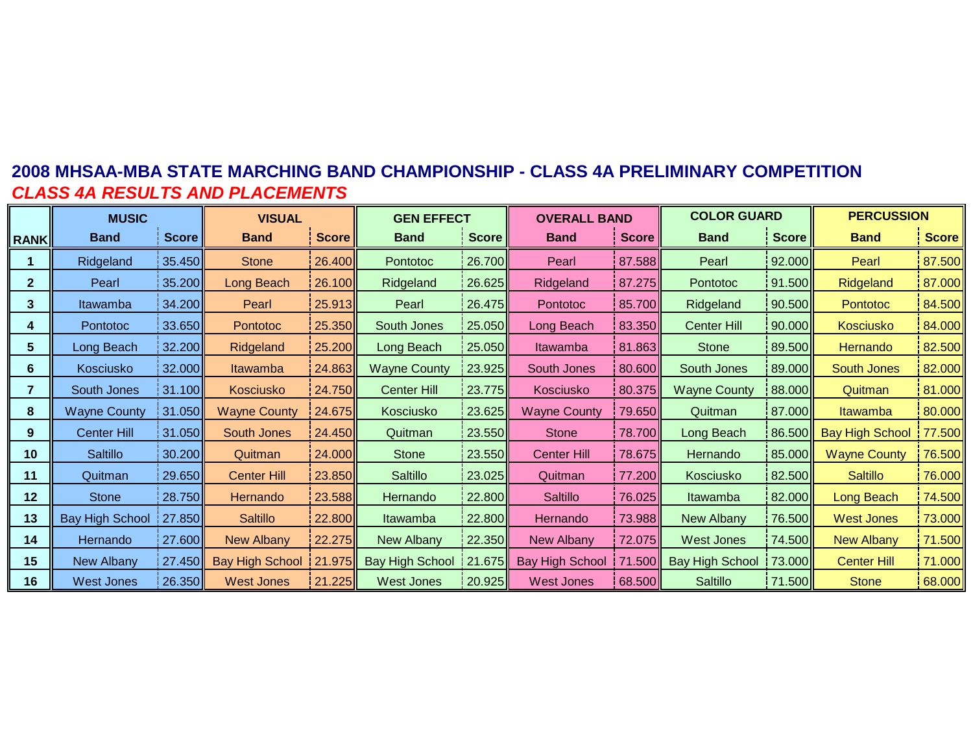### **2008 MHSAA-MBA STATE MARCHING BAND CHAMPIONSHIP - CLASS 4A PRELIMINARY COMPETITIONCLASS 4A RESULTS AND PLACEMENTS**

|                | <b>MUSIC</b>           |              | <b>VISUAL</b>       |        | <b>GEN EFFECT</b>      |              | <b>OVERALL BAND</b>    |              | <b>COLOR GUARD</b>     |              | <b>PERCUSSION</b>      |              |
|----------------|------------------------|--------------|---------------------|--------|------------------------|--------------|------------------------|--------------|------------------------|--------------|------------------------|--------------|
| <b>RANK</b>    | <b>Band</b>            | <b>Score</b> | <b>Band</b>         | Score  | <b>Band</b>            | <b>Score</b> | <b>Band</b>            | <b>Score</b> | <b>Band</b>            | <b>Score</b> | <b>Band</b>            | <b>Score</b> |
|                | Ridgeland              | 35.450       | <b>Stone</b>        | 26.400 | Pontotoc               | 26.700       | Pearl                  | 87.588       | Pearl                  | 92.000       | Pearl                  | 87.500       |
| $\mathbf{2}$   | Pearl                  | 35.200       | Long Beach          | 26.100 | Ridgeland              | 26.625       | Ridgeland              | 87.275       | Pontotoc               | 91.500       | Ridgeland              | 87.000       |
| 3              | Itawamba               | 34.200       | Pearl               | 25.913 | Pearl                  | 26.475       | Pontotoc               | 85.700       | Ridgeland              | 90.500       | <b>Pontotoc</b>        | 84.500       |
| 4              | Pontotoc               | 33.650       | <b>Pontotoc</b>     | 25.350 | South Jones            | 25.050       | Long Beach             | 83.350       | <b>Center Hill</b>     | 90.000       | Kosciusko              | 84.000       |
| 5              | Long Beach             | 32.200       | Ridgeland           | 25.200 | Long Beach             | 25.050       | Itawamba               | 81.863       | <b>Stone</b>           | 89.500       | Hernando               | 82.500       |
| 6              | Kosciusko              | 32.000       | Itawamba            | 24.863 | <b>Wayne County</b>    | 23.925       | South Jones            | 80.600       | South Jones            | 89.000       | <b>South Jones</b>     | 82.000       |
| $\overline{7}$ | South Jones            | 31.100       | Kosciusko           | 24.750 | Center Hill            | 23.775       | Kosciusko              | 80.375       | <b>Wayne County</b>    | 88.000       | Quitman                | 81.000       |
| 8              | <b>Wayne County</b>    | 31.050       | <b>Wayne County</b> | 24.675 | Kosciusko              | 23.625       | <b>Wayne County</b>    | 79.650       | Quitman                | 87.000       | <b>Itawamba</b>        | 80.000       |
| 9              | Center Hill            | 31.050       | South Jones         | 24.450 | Quitman                | 23.550       | Stone                  | 78.700       | Long Beach             | 86.500       | <b>Bay High School</b> | 77.500       |
| 10             | Saltillo               | 30.200       | Quitman             | 24.000 | <b>Stone</b>           | 23.550       | <b>Center Hill</b>     | 78.675       | Hernando               | 85.000       | <b>Wayne County</b>    | 76.500       |
| 11             | Quitman                | 29.650       | <b>Center Hill</b>  | 23.850 | Saltillo               | 23.025       | Quitman                | 77.200       | Kosciusko              | 82.500       | <b>Saltillo</b>        | 76.000       |
| 12             | <b>Stone</b>           | 28.750       | Hernando            | 23.588 | Hernando               | 22.800       | Saltillo               | 76.025       | Itawamba               | 82.000       | Long Beach             | 74.500       |
| 13             | <b>Bay High School</b> | 27.850       | <b>Saltillo</b>     | 22.800 | Itawamba               | 22.800       | Hernando               | 73.988       | New Albany             | 76.500       | <b>West Jones</b>      | 73.000       |
| 14             | Hernando               | 27.600       | New Albany          | 22.275 | New Albany             | 22.350       | <b>New Albany</b>      | 72.075       | West Jones             | 74.500       | <b>New Albany</b>      | 71.500       |
| 15             | New Albany             | 27.450       | Bay High School     | 21.975 | <b>Bay High School</b> | 21.675       | <b>Bay High School</b> | 71.500       | <b>Bay High School</b> | 73.000       | <b>Center Hill</b>     | 71.000       |
| 16             | <b>West Jones</b>      | 26.350       | <b>West Jones</b>   | 21.225 | <b>West Jones</b>      | 20.925       | <b>West Jones</b>      | 68.500       | Saltillo               | 71.500       | <b>Stone</b>           | 68.000       |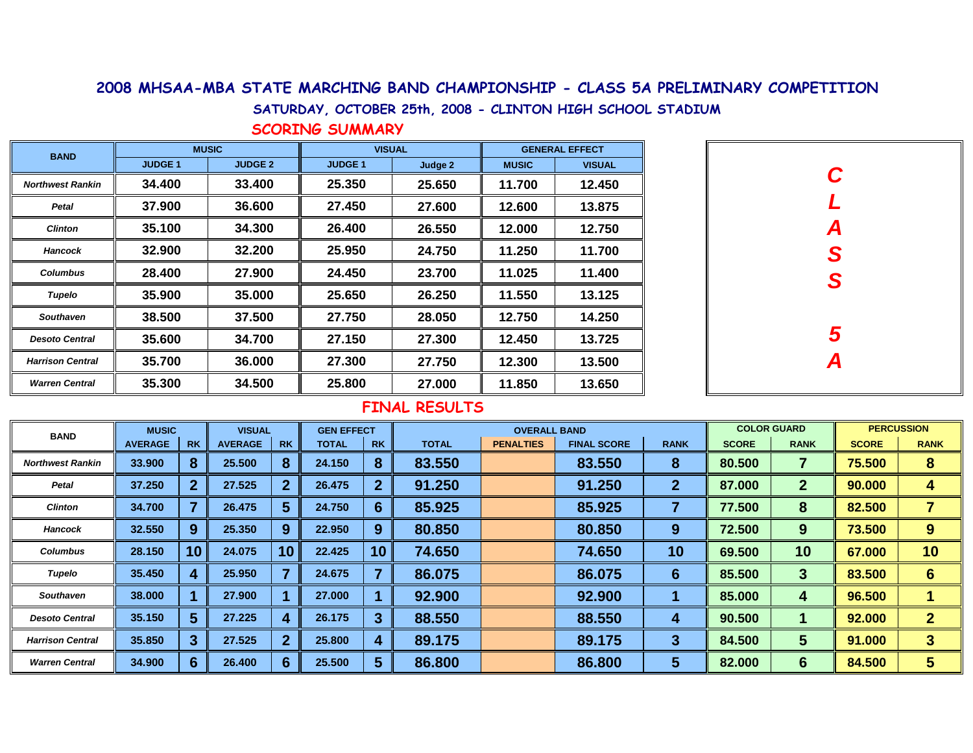#### 2008 MHSAA-MBA STATE MARCHING BAND CHAMPIONSHIP - CLASS 5A PRELIMINARY COMPETITION

SATURDAY, OCTOBER 25th, 2008 - CLINTON HIGH SCHOOL STADIUM

SCORING SUMMARY

| <b>BAND</b>             |               | <b>MUSIC</b>   | <b>VISUAL</b> |         | <b>GENERAL EFFECT</b> |               |  |  |
|-------------------------|---------------|----------------|---------------|---------|-----------------------|---------------|--|--|
|                         | <b>JUDGE1</b> | <b>JUDGE 2</b> | <b>JUDGE1</b> | Judge 2 | <b>MUSIC</b>          | <b>VISUAL</b> |  |  |
| <b>Northwest Rankin</b> | 34.400        | 33.400         | 25.350        | 25.650  | 11.700                | 12.450        |  |  |
| Petal                   | 37.900        | 36.600         | 27.450        | 27.600  | 12.600                | 13.875        |  |  |
| <b>Clinton</b>          | 35.100        | 34.300         | 26.400        | 26.550  | 12.000                | 12.750        |  |  |
| <b>Hancock</b>          | 32.900        | 32.200         | 25.950        | 24.750  | 11.250                | 11.700        |  |  |
| <b>Columbus</b>         | 28.400        | 27.900         | 24.450        | 23.700  | 11.025                | 11.400        |  |  |
| <b>Tupelo</b>           | 35.900        | 35.000         | 25.650        | 26.250  | 11.550                | 13.125        |  |  |
| <b>Southaven</b>        | 38.500        | 37.500         | 27.750        | 28.050  | 12.750                | 14.250        |  |  |
| <b>Desoto Central</b>   | 35.600        | 34.700         | 27.150        | 27.300  | 12.450                | 13.725        |  |  |
| <b>Harrison Central</b> | 35.700        | 36.000         | 27.300        | 27.750  | 12.300                | 13.500        |  |  |
| <b>Warren Central</b>   | 35.300        | 34.500         | 25.800        | 27.000  | 11.850                | 13.650        |  |  |

| C<br>L        |
|---------------|
|               |
| A<br>S<br>S   |
|               |
|               |
| $\frac{5}{4}$ |
|               |

| <b>BAND</b>             | <b>MUSIC</b>   |                | <b>VISUAL</b>  |           | <b>GEN EFFECT</b> |           |              | <b>OVERALL BAND</b> |                    |             |              |              | <b>PERCUSSION</b> |              |
|-------------------------|----------------|----------------|----------------|-----------|-------------------|-----------|--------------|---------------------|--------------------|-------------|--------------|--------------|-------------------|--------------|
|                         | <b>AVERAGE</b> | <b>RK</b>      | <b>AVERAGE</b> | <b>RK</b> | <b>TOTAL</b>      | <b>RK</b> | <b>TOTAL</b> | <b>PENALTIES</b>    | <b>FINAL SCORE</b> | <b>RANK</b> | <b>SCORE</b> | <b>RANK</b>  | <b>SCORE</b>      | <b>RANK</b>  |
| <b>Northwest Rankin</b> | 33,900         | 8              | 25.500         | 8         | 24.150            | 8         | 83.550       |                     | 83.550             | 8           | 80.500       | 7            | 75.500            | 8            |
| <b>Petal</b>            | 37.250         | $\overline{2}$ | 27.525         |           | 26.475            |           | 91.250       |                     | 91.250             | 2           | 87.000       | $\mathbf{2}$ | 90.000            | 4            |
| <b>Clinton</b>          | 34.700         |                | 26.475         | 5         | 24.750            | 6         | 85.925       |                     | 85.925             |             | 77.500       | 8            | 82.500            |              |
| <b>Hancock</b>          | 32.550         | 9              | 25.350         | 9         | 22.950            | 9         | 80.850       |                     | 80.850             | 9           | 72.500       | 9            | 73.500            | 9            |
| <b>Columbus</b>         | 28.150         | 10             | 24.075         | 10        | 22,425            | 10        | 74.650       |                     | 74.650             | 10          | 69.500       | 10           | 67.000            | 10           |
| Tupelo                  | 35.450         | $\overline{4}$ | 25.950         |           | 24.675            |           | 86.075       |                     | 86.075             | 6           | 85.500       | 3            | 83.500            | 6            |
| <b>Southaven</b>        | 38.000         |                | 27.900         |           | 27,000            |           | 92.900       |                     | 92.900             |             | 85.000       | 4            | 96.500            |              |
| <b>Desoto Central</b>   | 35.150         | 5 <sup>5</sup> | 27.225         | 4         | 26.175            |           | 88.550       |                     | 88.550             | 4           | 90.500       |              | 92.000            | $\mathbf{2}$ |
| <b>Harrison Central</b> | 35.850         | 3              | 27.525         | 2         | 25,800            |           | 89.175       |                     | 89.175             | 3           | 84.500       | 5            | 91.000            | 3            |
| <b>Warren Central</b>   | 34.900         | 6              | 26.400         | 6         | 25.500            | 5         | 86.800       |                     | 86.800             | 5           | 82.000       | 6            | 84.500            | 5            |